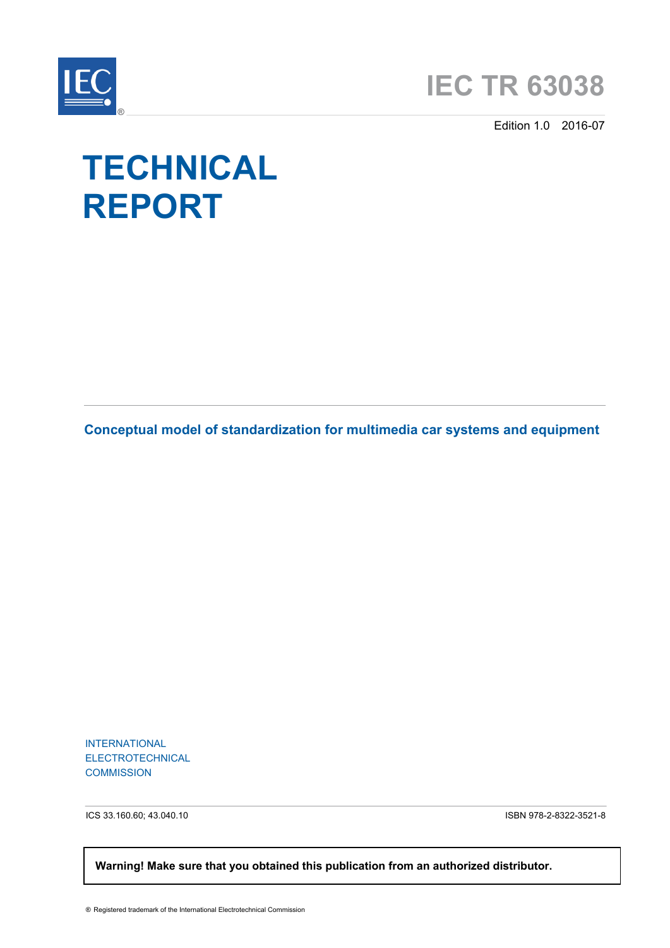



Edition 1.0 2016-07

# **TECHNICAL REPORT**

**Conceptual model of standardization for multimedia car systems and equipment**

INTERNATIONAL ELECTROTECHNICAL **COMMISSION** 

ICS 33.160.60; 43.040.10 ISBN 978-2-8322-3521-8

 **Warning! Make sure that you obtained this publication from an authorized distributor.**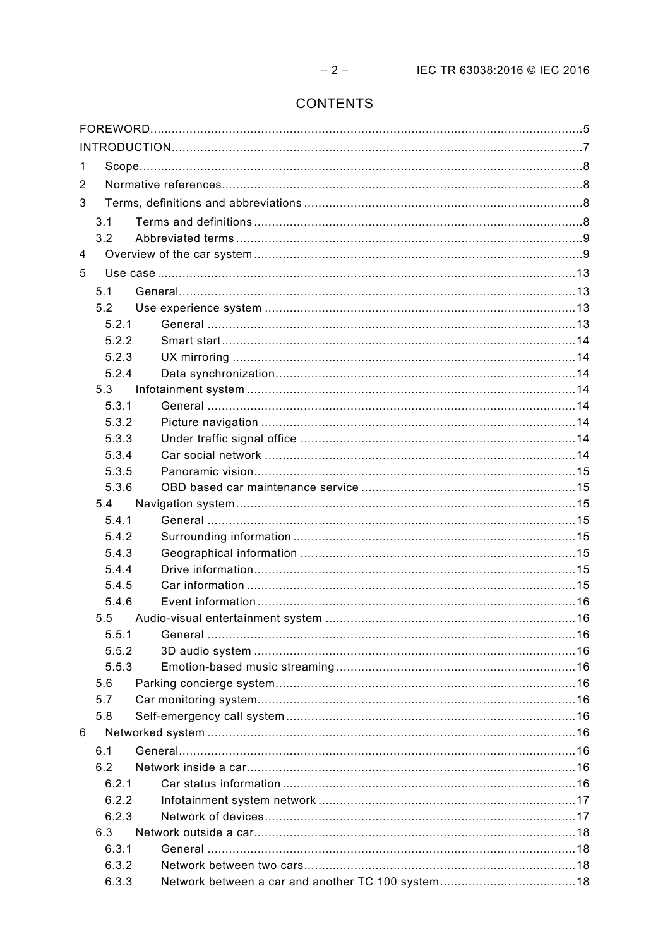# CONTENTS

| 1 |       |  |  |  |  |  |
|---|-------|--|--|--|--|--|
| 2 |       |  |  |  |  |  |
| 3 |       |  |  |  |  |  |
|   | 3.1   |  |  |  |  |  |
|   | 3.2   |  |  |  |  |  |
| 4 |       |  |  |  |  |  |
| 5 |       |  |  |  |  |  |
|   | 5.1   |  |  |  |  |  |
|   | 5.2   |  |  |  |  |  |
|   | 5.2.1 |  |  |  |  |  |
|   | 5.2.2 |  |  |  |  |  |
|   | 5.2.3 |  |  |  |  |  |
|   | 5.2.4 |  |  |  |  |  |
|   | 5.3   |  |  |  |  |  |
|   | 5.3.1 |  |  |  |  |  |
|   | 5.3.2 |  |  |  |  |  |
|   | 5.3.3 |  |  |  |  |  |
|   | 5.3.4 |  |  |  |  |  |
|   | 5.3.5 |  |  |  |  |  |
|   | 5.3.6 |  |  |  |  |  |
|   | 5.4   |  |  |  |  |  |
|   | 5.4.1 |  |  |  |  |  |
|   | 5.4.2 |  |  |  |  |  |
|   | 5.4.3 |  |  |  |  |  |
|   | 5.4.4 |  |  |  |  |  |
|   | 5.4.5 |  |  |  |  |  |
|   | 5.4.6 |  |  |  |  |  |
|   | 5.5   |  |  |  |  |  |
|   | 5.5.1 |  |  |  |  |  |
|   | 5.5.2 |  |  |  |  |  |
|   | 5.5.3 |  |  |  |  |  |
|   | 5.6   |  |  |  |  |  |
|   | 5.7   |  |  |  |  |  |
|   | 5.8   |  |  |  |  |  |
| 6 |       |  |  |  |  |  |
|   | 6.1   |  |  |  |  |  |
|   | 6.2   |  |  |  |  |  |
|   | 6.2.1 |  |  |  |  |  |
|   | 6.2.2 |  |  |  |  |  |
|   | 6.2.3 |  |  |  |  |  |
|   | 6.3   |  |  |  |  |  |
|   | 6.3.1 |  |  |  |  |  |
|   | 6.3.2 |  |  |  |  |  |
|   | 6.3.3 |  |  |  |  |  |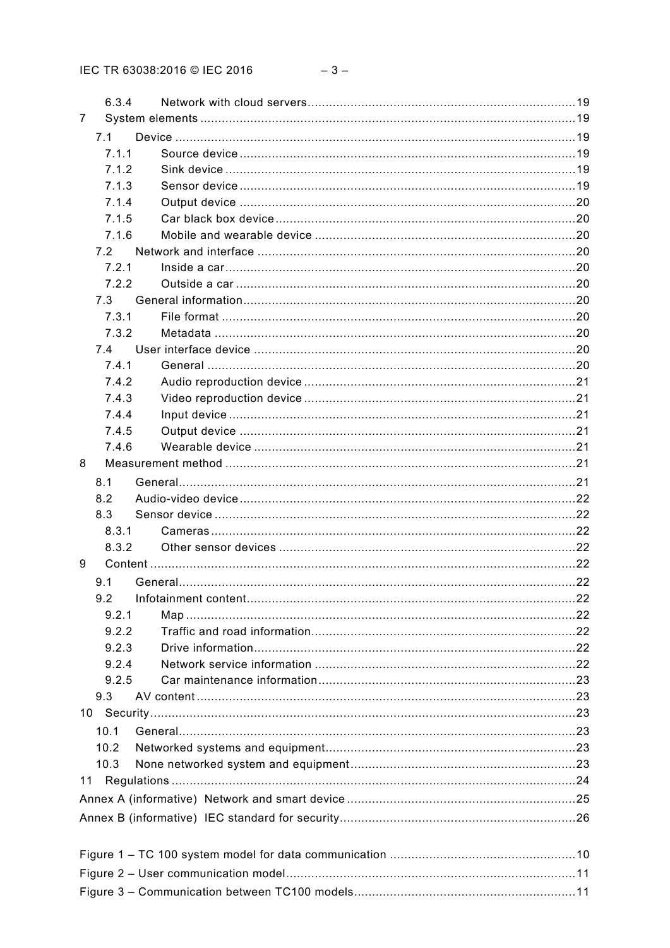|   | 6.3.4        |  |  |  |  |
|---|--------------|--|--|--|--|
| 7 |              |  |  |  |  |
|   |              |  |  |  |  |
|   | 7.1<br>7.1.1 |  |  |  |  |
|   |              |  |  |  |  |
|   | 7.1.2        |  |  |  |  |
|   | 7.1.3        |  |  |  |  |
|   | 7.1.4        |  |  |  |  |
|   | 7.1.5        |  |  |  |  |
|   | 7.1.6        |  |  |  |  |
|   | 7.2          |  |  |  |  |
|   | 7.2.1        |  |  |  |  |
|   | 7.2.2        |  |  |  |  |
|   | 7.3          |  |  |  |  |
|   | 7.3.1        |  |  |  |  |
|   | 7.3.2        |  |  |  |  |
|   | 7.4          |  |  |  |  |
|   | 7.4.1        |  |  |  |  |
|   | 7.4.2        |  |  |  |  |
|   | 7.4.3        |  |  |  |  |
|   | 7.4.4        |  |  |  |  |
|   | 7.4.5        |  |  |  |  |
|   | 7.4.6        |  |  |  |  |
| 8 |              |  |  |  |  |
|   | 8.1          |  |  |  |  |
|   | 8.2          |  |  |  |  |
|   | 8.3          |  |  |  |  |
|   | 8.3.1        |  |  |  |  |
|   | 8.3.2        |  |  |  |  |
| 9 |              |  |  |  |  |
|   | 9.1          |  |  |  |  |
|   | 9.2          |  |  |  |  |
|   | 9.2.1        |  |  |  |  |
|   | 9.2.2        |  |  |  |  |
|   | 9.2.3        |  |  |  |  |
|   | 9.2.4        |  |  |  |  |
|   | 9.2.5        |  |  |  |  |
|   | 9.3          |  |  |  |  |
|   |              |  |  |  |  |
|   | 10.1         |  |  |  |  |
|   | 10.2         |  |  |  |  |
|   | 10.3         |  |  |  |  |
|   |              |  |  |  |  |
|   |              |  |  |  |  |
|   |              |  |  |  |  |
|   |              |  |  |  |  |
|   |              |  |  |  |  |
|   |              |  |  |  |  |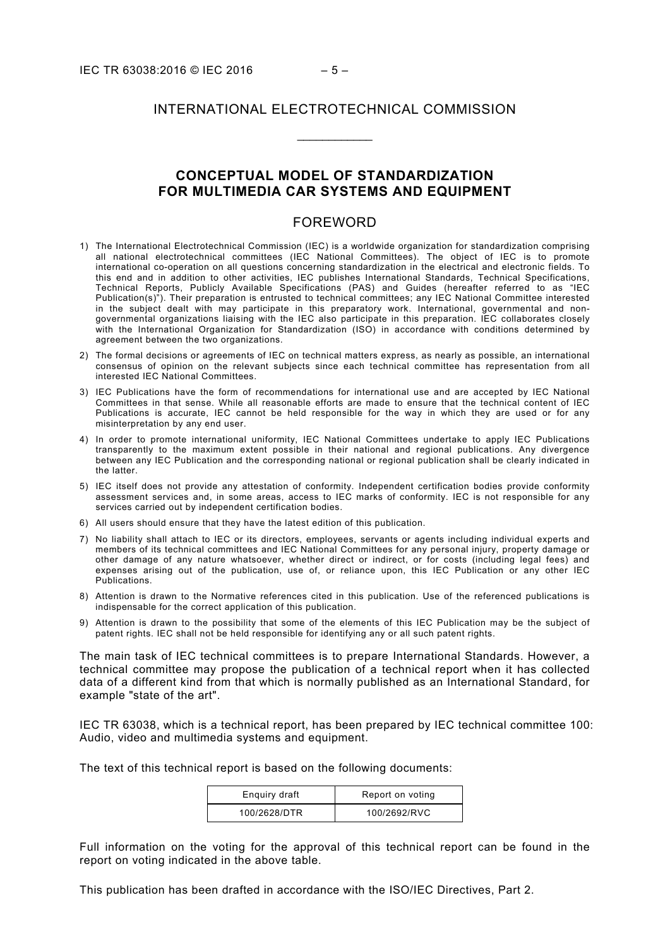# INTERNATIONAL ELECTROTECHNICAL COMMISSION

\_\_\_\_\_\_\_\_\_\_\_\_

## **CONCEPTUAL MODEL OF STANDARDIZATION FOR MULTIMEDIA CAR SYSTEMS AND EQUIPMENT**

#### FOREWORD

- <span id="page-4-0"></span>1) The International Electrotechnical Commission (IEC) is a worldwide organization for standardization comprising all national electrotechnical committees (IEC National Committees). The object of IEC is to promote international co-operation on all questions concerning standardization in the electrical and electronic fields. To this end and in addition to other activities, IEC publishes International Standards, Technical Specifications, Technical Reports, Publicly Available Specifications (PAS) and Guides (hereafter referred to as "IEC Publication(s)"). Their preparation is entrusted to technical committees; any IEC National Committee interested in the subject dealt with may participate in this preparatory work. International, governmental and nongovernmental organizations liaising with the IEC also participate in this preparation. IEC collaborates closely with the International Organization for Standardization (ISO) in accordance with conditions determined by agreement between the two organizations.
- 2) The formal decisions or agreements of IEC on technical matters express, as nearly as possible, an international consensus of opinion on the relevant subjects since each technical committee has representation from all interested IEC National Committees.
- 3) IEC Publications have the form of recommendations for international use and are accepted by IEC National Committees in that sense. While all reasonable efforts are made to ensure that the technical content of IEC Publications is accurate, IEC cannot be held responsible for the way in which they are used or for any misinterpretation by any end user.
- 4) In order to promote international uniformity, IEC National Committees undertake to apply IEC Publications transparently to the maximum extent possible in their national and regional publications. Any divergence between any IEC Publication and the corresponding national or regional publication shall be clearly indicated in the latter.
- 5) IEC itself does not provide any attestation of conformity. Independent certification bodies provide conformity assessment services and, in some areas, access to IEC marks of conformity. IEC is not responsible for any services carried out by independent certification bodies.
- 6) All users should ensure that they have the latest edition of this publication.
- 7) No liability shall attach to IEC or its directors, employees, servants or agents including individual experts and members of its technical committees and IEC National Committees for any personal injury, property damage or other damage of any nature whatsoever, whether direct or indirect, or for costs (including legal fees) and expenses arising out of the publication, use of, or reliance upon, this IEC Publication or any other IEC Publications.
- 8) Attention is drawn to the Normative references cited in this publication. Use of the referenced publications is indispensable for the correct application of this publication.
- 9) Attention is drawn to the possibility that some of the elements of this IEC Publication may be the subject of patent rights. IEC shall not be held responsible for identifying any or all such patent rights.

The main task of IEC technical committees is to prepare International Standards. However, a technical committee may propose the publication of a technical report when it has collected data of a different kind from that which is normally published as an International Standard, for example "state of the art".

IEC TR 63038, which is a technical report, has been prepared by IEC technical committee 100: Audio, video and multimedia systems and equipment.

The text of this technical report is based on the following documents:

| Enquiry draft | Report on voting |
|---------------|------------------|
| 100/2628/DTR  | 100/2692/RVC     |

Full information on the voting for the approval of this technical report can be found in the report on voting indicated in the above table.

This publication has been drafted in accordance with the ISO/IEC Directives, Part 2.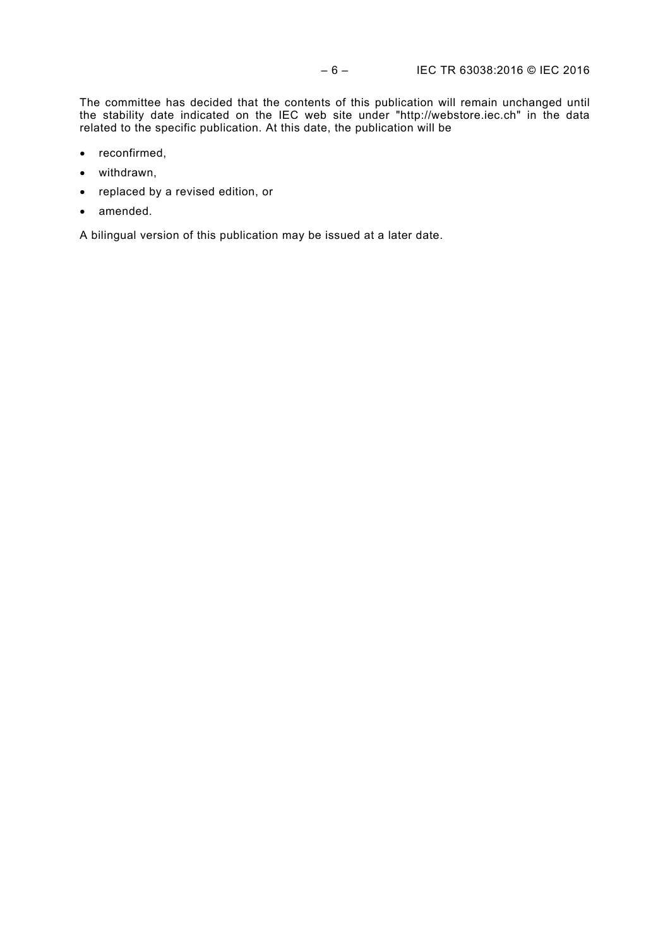The committee has decided that the contents of this publication will remain unchanged until the stability date indicated on the IEC web site under "http://webstore.iec.ch" in the data related to the specific publication. At this date, the publication will be

- reconfirmed,
- withdrawn,
- replaced by a revised edition, or
- amended.

A bilingual version of this publication may be issued at a later date.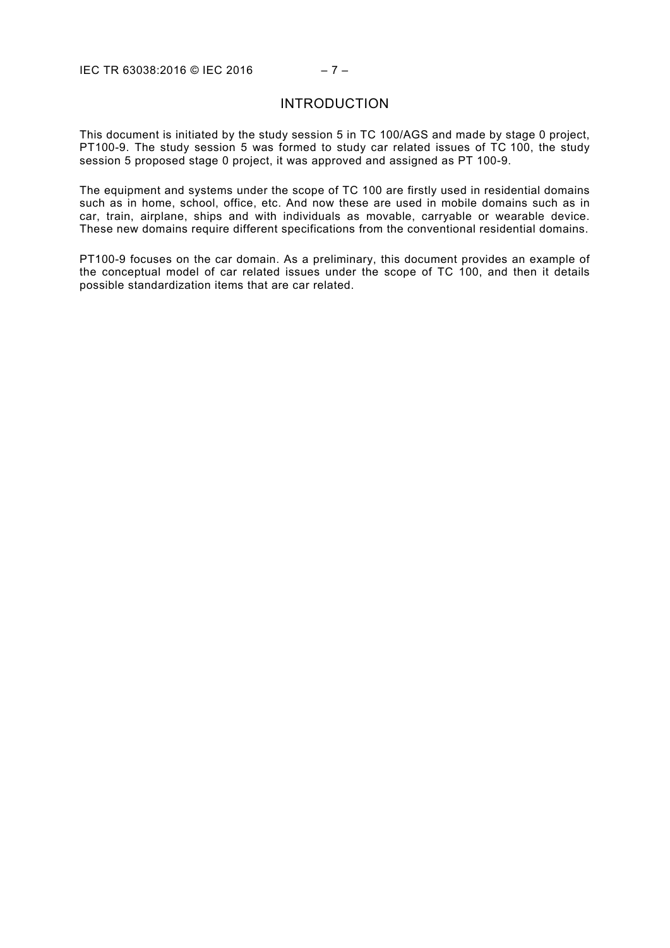#### INTRODUCTION

<span id="page-6-0"></span>This document is initiated by the study session 5 in TC 100/AGS and made by stage 0 project, PT100-9. The study session 5 was formed to study car related issues of TC 100, the study session 5 proposed stage 0 project, it was approved and assigned as PT 100-9.

The equipment and systems under the scope of TC 100 are firstly used in residential domains such as in home, school, office, etc. And now these are used in mobile domains such as in car, train, airplane, ships and with individuals as movable, carryable or wearable device. These new domains require different specifications from the conventional residential domains.

PT100-9 focuses on the car domain. As a preliminary, this document provides an example of the conceptual model of car related issues under the scope of TC 100, and then it details possible standardization items that are car related.